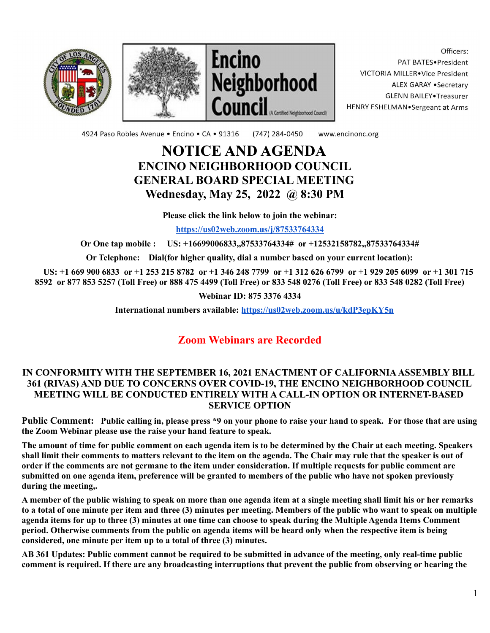





Officers: PAT BATES.President VICTORIA MILLER. Vice President ALEX GARAY . Secretary **GLENN BAILEY** Treasurer HENRY ESHELMAN.Sergeant at Arms

4924 Paso Robles Avenue · Encino · CA · 91316 (747) 284-0450 www.encinonc.org

## **NOTICE AND AGENDA ENCINO NEIGHBORHOOD COUNCIL GENERAL BOARD SPECIAL MEETING Wednesday, May 25, 2022 @ 8:30 PM**

**Please click the link below to join the webinar:**

**<https://us02web.zoom.us/j/87533764334>**

**Or One tap mobile : US: +16699006833,,87533764334# or +12532158782,,87533764334#**

**Or Telephone: Dial(for higher quality, dial a number based on your current location):**

US: +1 669 900 6833 or +1 253 215 8782 or +1 346 248 7799 or +1 312 626 6799 or +1 929 205 6099 or +1 301 715 8592 or 877 853 5257 (Toll Free) or 888 475 4499 (Toll Free) or 833 548 0276 (Toll Free) or 833 548 0282 (Toll Free)

**Webinar ID: 875 3376 4334**

**International numbers available: <https://us02web.zoom.us/u/kdP3epKY5n>**

## **Zoom Webinars are Recorded**

## **IN CONFORMITY WITH THE SEPTEMBER 16, 2021 ENACTMENT OF CALIFORNIAASSEMBLY BILL 361 (RIVAS) AND DUE TO CONCERNS OVER COVID-19, THE ENCINO NEIGHBORHOOD COUNCIL MEETING WILL BE CONDUCTED ENTIRELY WITH A CALL-IN OPTION OR INTERNET-BASED SERVICE OPTION**

Public Comment: Public calling in, please press \*9 on your phone to raise your hand to speak. For those that are using **the Zoom Webinar please use the raise your hand feature to speak.**

The amount of time for public comment on each agenda item is to be determined by the Chair at each meeting. Speakers shall limit their comments to matters relevant to the item on the agenda. The Chair may rule that the speaker is out of order if the comments are not germane to the item under consideration. If multiple requests for public comment are submitted on one agenda item, preference will be granted to members of the public who have not spoken previously **during the meeting,.**

A member of the public wishing to speak on more than one agenda item at a single meeting shall limit his or her remarks to a total of one minute per item and three (3) minutes per meeting. Members of the public who want to speak on multiple agenda items for up to three (3) minutes at one time can choose to speak during the Multiple Agenda Items Comment period. Otherwise comments from the public on agenda items will be heard only when the respective item is being **considered, one minute per item up to a total of three (3) minutes.**

AB 361 Updates: Public comment cannot be required to be submitted in advance of the meeting, only real-time public comment is required. If there are any broadcasting interruptions that prevent the public from observing or hearing the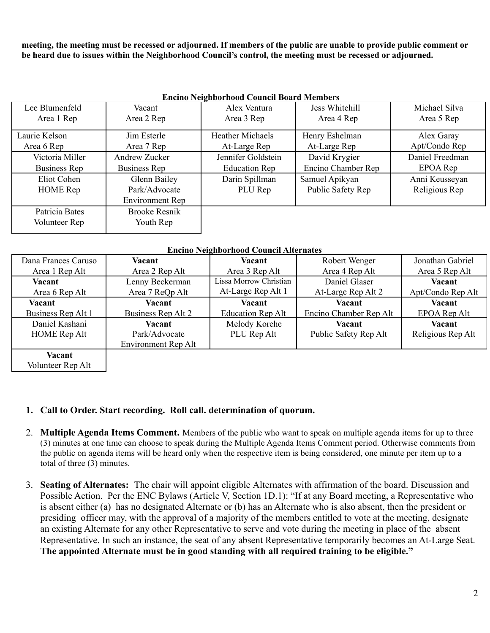meeting, the meeting must be recessed or adjourned. If members of the public are unable to provide public comment or be heard due to issues within the Neighborhood Council's control, the meeting must be recessed or adjourned.

| <b>Encino Neighborhood Council Board Members</b> |                      |                         |                    |                 |  |  |  |
|--------------------------------------------------|----------------------|-------------------------|--------------------|-----------------|--|--|--|
| Lee Blumenfeld                                   | Vacant               | Alex Ventura            | Jess Whitehill     | Michael Silva   |  |  |  |
| Area 1 Rep                                       | Area 2 Rep           | Area 3 Rep              | Area 4 Rep         | Area 5 Rep      |  |  |  |
| Laurie Kelson                                    | Jim Esterle          | <b>Heather Michaels</b> | Henry Eshelman     | Alex Garay      |  |  |  |
| Area 6 Rep                                       | Area 7 Rep           | At-Large Rep            | At-Large Rep       | Apt/Condo Rep   |  |  |  |
| Victoria Miller                                  | Andrew Zucker        | Jennifer Goldstein      | David Krygier      | Daniel Freedman |  |  |  |
| Business Rep                                     | Business Rep         | <b>Education Rep</b>    | Encino Chamber Rep | EPOA Rep        |  |  |  |
| Eliot Cohen                                      | Glenn Bailey         | Darin Spillman          | Samuel Apikyan     | Anni Keusseyan  |  |  |  |
| <b>HOME</b> Rep                                  | Park/Advocate        | PLU Rep                 | Public Safety Rep  | Religious Rep   |  |  |  |
|                                                  | Environment Rep      |                         |                    |                 |  |  |  |
| Patricia Bates                                   | <b>Brooke Resnik</b> |                         |                    |                 |  |  |  |
| Volunteer Rep                                    | Youth Rep            |                         |                    |                 |  |  |  |
|                                                  |                      |                         |                    |                 |  |  |  |

| <b>Encino Neighborhood Council Board Members</b> |  |
|--------------------------------------------------|--|
|--------------------------------------------------|--|

| <b>Encino Neighborhood Council Alternates</b> |                     |                          |                        |                   |  |  |
|-----------------------------------------------|---------------------|--------------------------|------------------------|-------------------|--|--|
| Dana Frances Caruso                           | Vacant              | Vacant                   | Robert Wenger          | Jonathan Gabriel  |  |  |
| Area 1 Rep Alt                                | Area 2 Rep Alt      | Area 3 Rep Alt           | Area 4 Rep Alt         | Area 5 Rep Alt    |  |  |
| Vacant                                        | Lenny Beckerman     | Lissa Morrow Christian   | Daniel Glaser          | Vacant            |  |  |
| Area 6 Rep Alt                                | Area 7 ReQp Alt     | At-Large Rep Alt 1       | At-Large Rep Alt 2     | Apt/Condo Rep Alt |  |  |
| Vacant                                        | Vacant              | Vacant                   | Vacant                 | Vacant            |  |  |
| Business Rep Alt 1                            | Business Rep Alt 2  | <b>Education Rep Alt</b> | Encino Chamber Rep Alt | EPOA Rep Alt      |  |  |
| Daniel Kashani                                | Vacant              | Melody Korehe            | Vacant                 | Vacant            |  |  |
| <b>HOME</b> Rep Alt                           | Park/Advocate       | PLU Rep Alt              | Public Safety Rep Alt  | Religious Rep Alt |  |  |
|                                               | Environment Rep Alt |                          |                        |                   |  |  |
| Vacant                                        |                     |                          |                        |                   |  |  |
| Volunteer Rep Alt                             |                     |                          |                        |                   |  |  |

## **1. Call to Order. Start recording. Roll call. determination of quorum.**

- 2. **Multiple Agenda Items Comment.** Members of the public who want to speak on multiple agenda items for up to three (3) minutes at one time can choose to speak during the Multiple Agenda Items Comment period. Otherwise comments from the public on agenda items will be heard only when the respective item is being considered, one minute per item up to a total of three (3) minutes.
- 3. **Seating of Alternates:** The chair will appoint eligible Alternates with affirmation of the board. Discussion and Possible Action. Per the ENC Bylaws (Article V, Section 1D.1): "If at any Board meeting, a Representative who is absent either (a) has no designated Alternate or (b) has an Alternate who is also absent, then the president or presiding officer may, with the approval of a majority of the members entitled to vote at the meeting, designate an existing Alternate for any other Representative to serve and vote during the meeting in place of the absent Representative. In such an instance, the seat of any absent Representative temporarily becomes an At-Large Seat. **The appointed Alternate must be in good standing with all required training to be eligible."**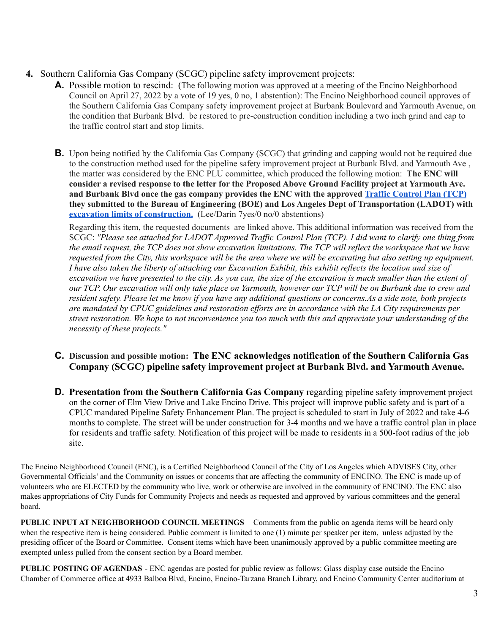- **4.** Southern California Gas Company (SCGC) pipeline safety improvement projects:
	- **A.** Possible motion to rescind: (The following motion was approved at a meeting of the Encino Neighborhood Council on April 27, 2022 by a vote of 19 yes, 0 no, 1 abstention): The Encino Neighborhood council approves of the Southern California Gas Company safety improvement project at Burbank Boulevard and Yarmouth Avenue, on the condition that Burbank Blvd. be restored to pre-construction condition including a two inch grind and cap to the traffic control start and stop limits.
	- **B.** Upon being notified by the California Gas Company (SCGC) that grinding and capping would not be required due to the construction method used for the pipeline safety improvement project at Burbank Blvd. and Yarmouth Ave , the matter was considered by the ENC PLU committee, which produced the following motion: **The ENC will consider a revised response to the letter for the Proposed Above Ground Facility project at Yarmouth Ave. and Burbank Blvd once the gas company provides the ENC with the approved Traffic [Control](https://www.encinonc.org/assets/documents/8/meeting628d58f0cf736.pdf) Plan (TCP) they submitted to the Bureau of Engineering (BOE) and Los Angeles Dept of Transportation (LADOT) with excavation limits of [construction.](https://www.encinonc.org/assets/documents/8/meeting628d57c8caa56.pdf)** (Lee/Darin 7yes/0 no/0 abstentions)

Regarding this item, the requested documents are linked above. This additional information was received from the SCGC: "Please see attached for LADOT Approved Traffic Control Plan (TCP). I did want to clarify one thing from the email request, the TCP does not show excavation limitations. The TCP will reflect the workspace that we have requested from the City, this workspace will be the area where we will be excavating but also setting up equipment. I have also taken the liberty of attaching our Excavation Exhibit, this exhibit reflects the location and size of excavation we have presented to the city. As you can, the size of the excavation is much smaller than the extent of our TCP. Our excavation will only take place on Yarmouth, however our TCP will be on Burbank due to crew and resident safety. Please let me know if you have any additional questions or concerns. As a side note, both projects are mandated by CPUC guidelines and restoration efforts are in accordance with the LA City requirements per street restoration. We hope to not inconvenience you too much with this and appreciate your understanding of the *necessity of these projects."*

- **C. Discussion and possible motion: The ENC acknowledges notification of the Southern California Gas Company (SCGC) pipeline safety improvement project at Burbank Blvd. and Yarmouth Avenue.**
- **D. Presentation from the Southern California Gas Company** regarding pipeline safety improvement project on the corner of Elm View Drive and Lake Encino Drive. This project will improve public safety and is part of a CPUC mandated Pipeline Safety Enhancement Plan. The project is scheduled to start in July of 2022 and take 4-6 months to complete. The street will be under construction for 3-4 months and we have a traffic control plan in place for residents and traffic safety. Notification of this project will be made to residents in a 500-foot radius of the job site.

The Encino Neighborhood Council (ENC), is a Certified Neighborhood Council of the City of Los Angeles which ADVISES City, other Governmental Officials' and the Community on issues or concerns that are affecting the community of ENCINO. The ENC is made up of volunteers who are ELECTED by the community who live, work or otherwise are involved in the community of ENCINO. The ENC also makes appropriations of City Funds for Community Projects and needs as requested and approved by various committees and the general board.

**PUBLIC INPUT AT NEIGHBORHOOD COUNCIL MEETINGS** – Comments from the public on agenda items will be heard only when the respective item is being considered. Public comment is limited to one (1) minute per speaker per item, unless adjusted by the presiding officer of the Board or Committee. Consent items which have been unanimously approved by a public committee meeting are exempted unless pulled from the consent section by a Board member.

**PUBLIC POSTING OF AGENDAS** - ENC agendas are posted for public review as follows: Glass display case outside the Encino Chamber of Commerce office at 4933 Balboa Blvd, Encino, Encino-Tarzana Branch Library, and Encino Community Center auditorium at